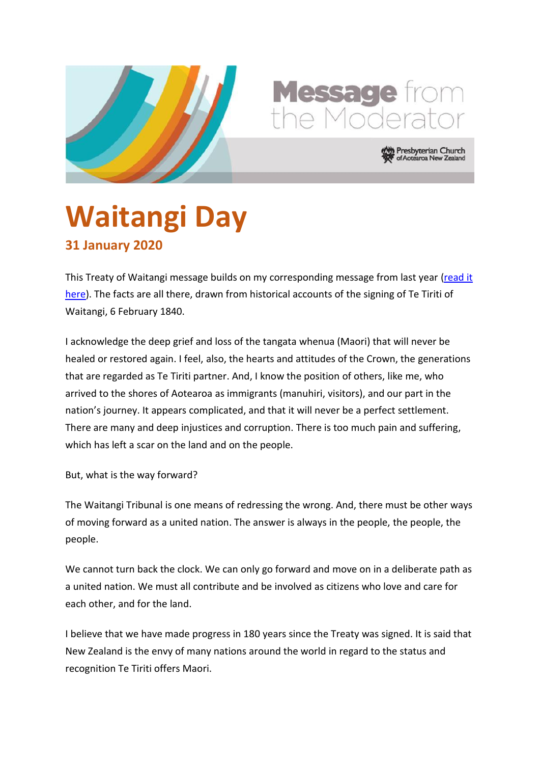



resbyterian Church Aotearoa New Zea

## **Waitangi Day 31 January 2020**

This Treaty of Waitangi message builds on my corresponding message from last year [\(read it](https://www.presbyterian.org.nz/sites/default/files/Moderator)  [here\)](https://www.presbyterian.org.nz/sites/default/files/Moderator). The facts are all there, drawn from historical accounts of the signing of Te Tiriti of Waitangi, 6 February 1840.

I acknowledge the deep grief and loss of the tangata whenua (Maori) that will never be healed or restored again. I feel, also, the hearts and attitudes of the Crown, the generations that are regarded as Te Tiriti partner. And, I know the position of others, like me, who arrived to the shores of Aotearoa as immigrants (manuhiri, visitors), and our part in the nation's journey. It appears complicated, and that it will never be a perfect settlement. There are many and deep injustices and corruption. There is too much pain and suffering, which has left a scar on the land and on the people.

But, what is the way forward?

The Waitangi Tribunal is one means of redressing the wrong. And, there must be other ways of moving forward as a united nation. The answer is always in the people, the people, the people.

We cannot turn back the clock. We can only go forward and move on in a deliberate path as a united nation. We must all contribute and be involved as citizens who love and care for each other, and for the land.

I believe that we have made progress in 180 years since the Treaty was signed. It is said that New Zealand is the envy of many nations around the world in regard to the status and recognition Te Tiriti offers Maori.